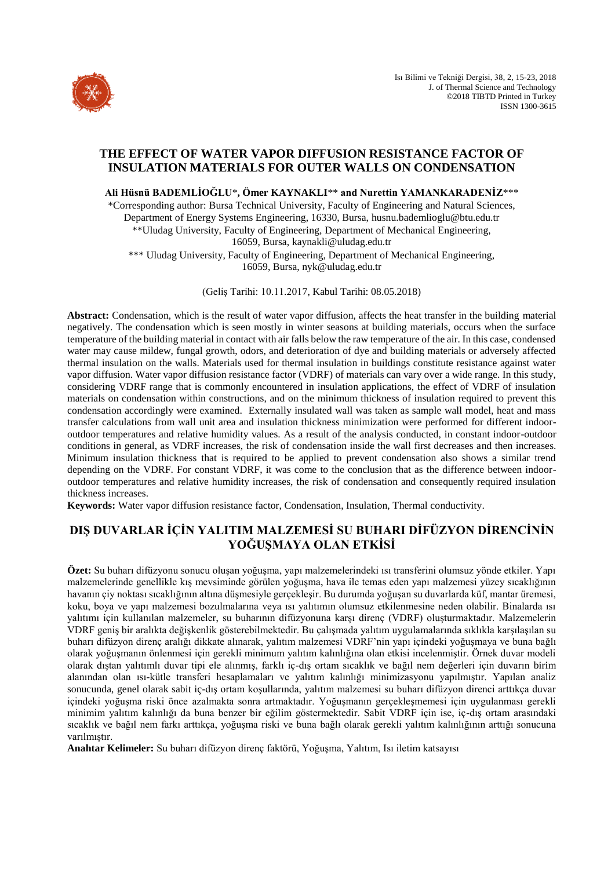

# **THE EFFECT OF WATER VAPOR DIFFUSION RESISTANCE FACTOR OF INSULATION MATERIALS FOR OUTER WALLS ON CONDENSATION**

**Ali Hüsnü BADEMLİOĞLU**\***, Ömer KAYNAKLI**\*\* **and Nurettin YAMANKARADENİZ**\*\*\*

\*Corresponding author: Bursa Technical University, Faculty of Engineering and Natural Sciences, Department of Energy Systems Engineering, 16330, Bursa, husnu.bademlioglu@btu.edu.tr \*\*Uludag University, Faculty of Engineering, Department of Mechanical Engineering, 16059, Bursa, kaynakli@uludag.edu.tr

\*\*\* Uludag University, Faculty of Engineering, Department of Mechanical Engineering, 16059, Bursa, nyk@uludag.edu.tr

(Geliş Tarihi: 10.11.2017, Kabul Tarihi: 08.05.2018)

**Abstract:** Condensation, which is the result of water vapor diffusion, affects the heat transfer in the building material negatively. The condensation which is seen mostly in winter seasons at building materials, occurs when the surface temperature of the building material in contact with air falls below the raw temperature of the air. In this case, condensed water may cause mildew, fungal growth, odors, and deterioration of dye and building materials or adversely affected thermal insulation on the walls. Materials used for thermal insulation in buildings constitute resistance against water vapor diffusion. Water vapor diffusion resistance factor (VDRF) of materials can vary over a wide range. In this study, considering VDRF range that is commonly encountered in insulation applications, the effect of VDRF of insulation materials on condensation within constructions, and on the minimum thickness of insulation required to prevent this condensation accordingly were examined. Externally insulated wall was taken as sample wall model, heat and mass transfer calculations from wall unit area and insulation thickness minimization were performed for different indooroutdoor temperatures and relative humidity values. As a result of the analysis conducted, in constant indoor-outdoor conditions in general, as VDRF increases, the risk of condensation inside the wall first decreases and then increases. Minimum insulation thickness that is required to be applied to prevent condensation also shows a similar trend depending on the VDRF. For constant VDRF, it was come to the conclusion that as the difference between indooroutdoor temperatures and relative humidity increases, the risk of condensation and consequently required insulation thickness increases.

**Keywords:** Water vapor diffusion resistance factor, Condensation, Insulation, Thermal conductivity.

# **DIŞ DUVARLAR İÇİN YALITIM MALZEMESİ SU BUHARI DİFÜZYON DİRENCİNİN YOĞUŞMAYA OLAN ETKİSİ**

**Özet:** Su buharı difüzyonu sonucu oluşan yoğuşma, yapı malzemelerindeki ısı transferini olumsuz yönde etkiler. Yapı malzemelerinde genellikle kış mevsiminde görülen yoğuşma, hava ile temas eden yapı malzemesi yüzey sıcaklığının havanın çiy noktası sıcaklığının altına düşmesiyle gerçekleşir. Bu durumda yoğuşan su duvarlarda küf, mantar üremesi, koku, boya ve yapı malzemesi bozulmalarına veya ısı yalıtımın olumsuz etkilenmesine neden olabilir. Binalarda ısı yalıtımı için kullanılan malzemeler, su buharının difüzyonuna karşı direnç (VDRF) oluşturmaktadır. Malzemelerin VDRF geniş bir aralıkta değişkenlik gösterebilmektedir. Bu çalışmada yalıtım uygulamalarında sıklıkla karşılaşılan su buharı difüzyon direnç aralığı dikkate alınarak, yalıtım malzemesi VDRF'nin yapı içindeki yoğuşmaya ve buna bağlı olarak yoğuşmanın önlenmesi için gerekli minimum yalıtım kalınlığına olan etkisi incelenmiştir. Örnek duvar modeli olarak dıştan yalıtımlı duvar tipi ele alınmış, farklı iç-dış ortam sıcaklık ve bağıl nem değerleri için duvarın birim alanından olan ısı-kütle transferi hesaplamaları ve yalıtım kalınlığı minimizasyonu yapılmıştır. Yapılan analiz sonucunda, genel olarak sabit iç-dış ortam koşullarında, yalıtım malzemesi su buharı difüzyon direnci arttıkça duvar içindeki yoğuşma riski önce azalmakta sonra artmaktadır. Yoğuşmanın gerçekleşmemesi için uygulanması gerekli minimim yalıtım kalınlığı da buna benzer bir eğilim göstermektedir. Sabit VDRF için ise, iç-dış ortam arasındaki sıcaklık ve bağıl nem farkı arttıkça, yoğuşma riski ve buna bağlı olarak gerekli yalıtım kalınlığının arttığı sonucuna varılmıştır.

**Anahtar Kelimeler:** Su buharı difüzyon direnç faktörü, Yoğuşma, Yalıtım, Isı iletim katsayısı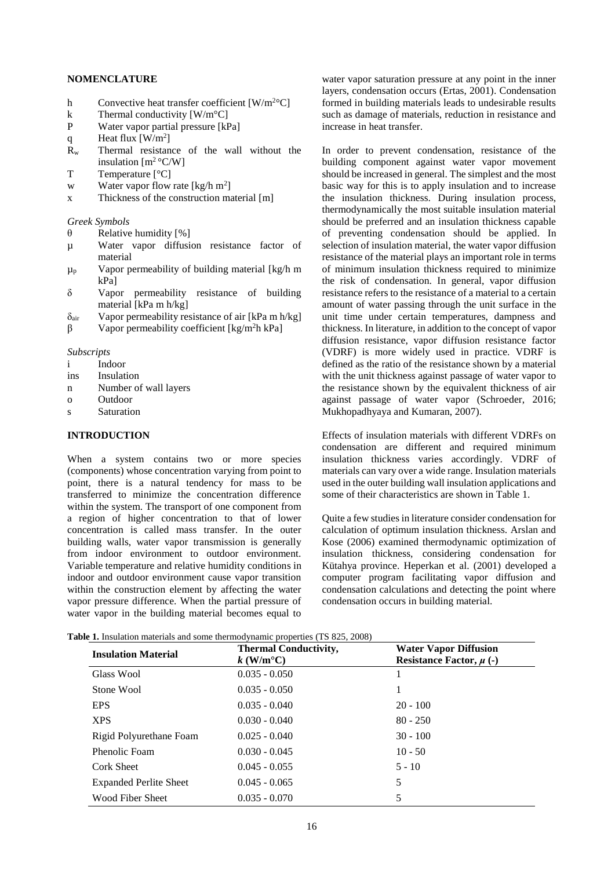### **NOMENCLATURE**

- h Convective heat transfer coefficient  $[W/m^{2}^{\circ}C]$
- k Thermal conductivity  $[W/m^{\circ}C]$
- P Water vapor partial pressure [kPa]
- q Heat flux  $[W/m^2]$
- $R_w$  Thermal resistance of the wall without the insulation [m<sup>2</sup>°C/W]
- T Temperature [°C]
- w Water vapor flow rate  $[kg/h m^2]$
- x Thickness of the construction material [m]

*Greek Symbols*

- $\theta$  Relative humidity [%]
- µ Water vapor diffusion resistance factor of material
- $\mu_p$  Vapor permeability of building material [kg/h m kPa]
- δ Vapor permeability resistance of building material [kPa m h/kg]
- $\delta_{\text{air}}$  Vapor permeability resistance of air [kPa m h/kg]
- β Vapor permeability coefficient [kg/m<sup>2</sup>h kPa]

*Subscripts*

- i Indoor
- ins Insulation
- n Number of wall layers
- o Outdoor
- s Saturation

# **INTRODUCTION**

When a system contains two or more species (components) whose concentration varying from point to point, there is a natural tendency for mass to be transferred to minimize the concentration difference within the system. The transport of one component from a region of higher concentration to that of lower concentration is called mass transfer. In the outer building walls, water vapor transmission is generally from indoor environment to outdoor environment. Variable temperature and relative humidity conditions in indoor and outdoor environment cause vapor transition within the construction element by affecting the water vapor pressure difference. When the partial pressure of water vapor in the building material becomes equal to

water vapor saturation pressure at any point in the inner layers, condensation occurs (Ertas, 2001). Condensation formed in building materials leads to undesirable results such as damage of materials, reduction in resistance and increase in heat transfer.

In order to prevent condensation, resistance of the building component against water vapor movement should be increased in general. The simplest and the most basic way for this is to apply insulation and to increase the insulation thickness. During insulation process, thermodynamically the most suitable insulation material should be preferred and an insulation thickness capable of preventing condensation should be applied. In selection of insulation material, the water vapor diffusion resistance of the material plays an important role in terms of minimum insulation thickness required to minimize the risk of condensation. In general, vapor diffusion resistance refers to the resistance of a material to a certain amount of water passing through the unit surface in the unit time under certain temperatures, dampness and thickness. In literature, in addition to the concept of vapor diffusion resistance, vapor diffusion resistance factor (VDRF) is more widely used in practice. VDRF is defined as the ratio of the resistance shown by a material with the unit thickness against passage of water vapor to the resistance shown by the equivalent thickness of air against passage of water vapor (Schroeder, 2016; Mukhopadhyaya and Kumaran, 2007).

Effects of insulation materials with different VDRFs on condensation are different and required minimum insulation thickness varies accordingly. VDRF of materials can vary over a wide range. Insulation materials used in the outer building wall insulation applications and some of their characteristics are shown in Table 1.

Quite a few studies in literature consider condensation for calculation of optimum insulation thickness. Arslan and Kose (2006) examined thermodynamic optimization of insulation thickness, considering condensation for Kütahya province. Heperkan et al. (2001) developed a computer program facilitating vapor diffusion and condensation calculations and detecting the point where condensation occurs in building material.

**Table 1.** Insulation materials and some thermodynamic properties (TS 825, 2008)

| <b>Insulation Material</b>    | <b>Thermal Conductivity,</b><br>$k$ (W/m <sup>o</sup> C) | <b>Water Vapor Diffusion</b><br>Resistance Factor, $\mu$ (-) |
|-------------------------------|----------------------------------------------------------|--------------------------------------------------------------|
| Glass Wool                    | $0.035 - 0.050$                                          |                                                              |
| Stone Wool                    | $0.035 - 0.050$                                          |                                                              |
| <b>EPS</b>                    | $0.035 - 0.040$                                          | $20 - 100$                                                   |
| <b>XPS</b>                    | $0.030 - 0.040$                                          | $80 - 250$                                                   |
| Rigid Polyurethane Foam       | $0.025 - 0.040$                                          | $30 - 100$                                                   |
| Phenolic Foam                 | $0.030 - 0.045$                                          | $10 - 50$                                                    |
| <b>Cork Sheet</b>             | $0.045 - 0.055$                                          | $5 - 10$                                                     |
| <b>Expanded Perlite Sheet</b> | $0.045 - 0.065$                                          | 5                                                            |
| Wood Fiber Sheet              | $0.035 - 0.070$                                          | 5                                                            |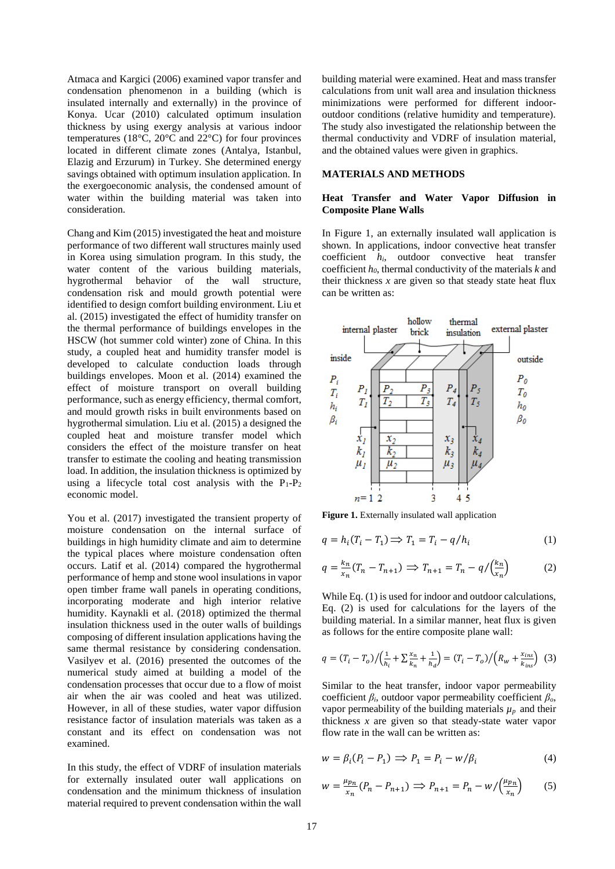Atmaca and Kargici (2006) examined vapor transfer and condensation phenomenon in a building (which is insulated internally and externally) in the province of Konya. Ucar (2010) calculated optimum insulation thickness by using exergy analysis at various indoor temperatures (18°C, 20°C and 22°C) for four provinces located in different climate zones (Antalya, Istanbul, Elazig and Erzurum) in Turkey. She determined energy savings obtained with optimum insulation application. In the exergoeconomic analysis, the condensed amount of water within the building material was taken into consideration.

Chang and Kim (2015) investigated the heat and moisture performance of two different wall structures mainly used in Korea using simulation program. In this study, the water content of the various building materials, hygrothermal behavior of the wall structure, condensation risk and mould growth potential were identified to design comfort building environment. Liu et al. (2015) investigated the effect of humidity transfer on the thermal performance of buildings envelopes in the HSCW (hot summer cold winter) zone of China. In this study, a coupled heat and humidity transfer model is developed to calculate conduction loads through buildings envelopes. Moon et al. (2014) examined the effect of moisture transport on overall building performance, such as energy efficiency, thermal comfort, and mould growth risks in built environments based on hygrothermal simulation. Liu et al. (2015) a designed the coupled heat and moisture transfer model which considers the effect of the moisture transfer on heat transfer to estimate the cooling and heating transmission load. In addition, the insulation thickness is optimized by using a lifecycle total cost analysis with the  $P_1-P_2$ economic model.

You et al. (2017) investigated the transient property of moisture condensation on the internal surface of buildings in high humidity climate and aim to determine the typical places where moisture condensation often occurs. Latif et al. (2014) compared the hygrothermal performance of hemp and stone wool insulations in vapor open timber frame wall panels in operating conditions, incorporating moderate and high interior relative humidity. Kaynakli et al. (2018) optimized the thermal insulation thickness used in the outer walls of buildings composing of different insulation applications having the same thermal resistance by considering condensation. Vasilyev et al. (2016) presented the outcomes of the numerical study aimed at building a model of the condensation processes that occur due to a flow of moist air when the air was cooled and heat was utilized. However, in all of these studies, water vapor diffusion resistance factor of insulation materials was taken as a constant and its effect on condensation was not examined.

In this study, the effect of VDRF of insulation materials for externally insulated outer wall applications on condensation and the minimum thickness of insulation material required to prevent condensation within the wall

building material were examined. Heat and mass transfer calculations from unit wall area and insulation thickness minimizations were performed for different indooroutdoor conditions (relative humidity and temperature). The study also investigated the relationship between the thermal conductivity and VDRF of insulation material, and the obtained values were given in graphics.

### **MATERIALS AND METHODS**

# **Heat Transfer and Water Vapor Diffusion in Composite Plane Walls**

In Figure 1, an externally insulated wall application is shown. In applications, indoor convective heat transfer coefficient *hi*, outdoor convective heat transfer coefficient *h0*, thermal conductivity of the materials *k* and their thickness  $x$  are given so that steady state heat flux can be written as:



**Figure 1.** Externally insulated wall application

$$
q = h_i(T_i - T_1) \Longrightarrow T_1 = T_i - q/h_i \tag{1}
$$

$$
q = \frac{k_n}{x_n}(T_n - T_{n+1}) \implies T_{n+1} = T_n - q / \left(\frac{k_n}{x_n}\right) \tag{2}
$$

While Eq. (1) is used for indoor and outdoor calculations, Eq. (2) is used for calculations for the layers of the building material. In a similar manner, heat flux is given as follows for the entire composite plane wall:

$$
q = (T_i - T_o) / \left(\frac{1}{h_i} + \sum \frac{x_n}{k_n} + \frac{1}{h_d}\right) = (T_i - T_o) / \left(R_w + \frac{x_{ins}}{k_{ins}}\right)
$$
 (3)

Similar to the heat transfer, indoor vapor permeability coefficient *βi*, outdoor vapor permeability coefficient *βo*, vapor permeability of the building materials  $\mu_p$  and their thickness *x* are given so that steady-state water vapor flow rate in the wall can be written as:

$$
w = \beta_i (P_i - P_1) \implies P_1 = P_i - w / \beta_i \tag{4}
$$

$$
w = \frac{\mu_{p_n}}{x_n} (P_n - P_{n+1}) \implies P_{n+1} = P_n - w / \left(\frac{\mu_{p_n}}{x_n}\right) \tag{5}
$$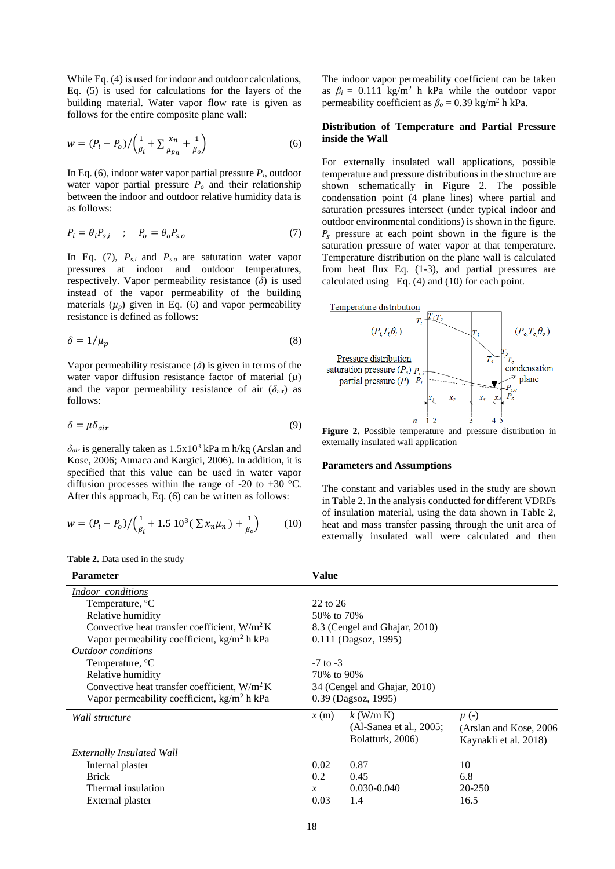While Eq. (4) is used for indoor and outdoor calculations, Eq. (5) is used for calculations for the layers of the building material. Water vapor flow rate is given as follows for the entire composite plane wall:

$$
w = (P_i - P_o) / \left(\frac{1}{\beta_i} + \sum \frac{x_n}{\mu_{p_n}} + \frac{1}{\beta_o}\right)
$$
 (6)

In Eq. (6), indoor water vapor partial pressure  $P_i$ , outdoor water vapor partial pressure  $P$ <sup> $o$ </sup> and their relationship between the indoor and outdoor relative humidity data is as follows:

$$
P_i = \theta_i P_{s,i} \quad ; \quad P_o = \theta_o P_{s.o} \tag{7}
$$

In Eq. (7), *Ps,i* and *Ps,o* are saturation water vapor pressures at indoor and outdoor temperatures, respectively. Vapor permeability resistance (*δ*) is used instead of the vapor permeability of the building materials  $(\mu_p)$  given in Eq. (6) and vapor permeability resistance is defined as follows:

$$
\delta = 1/\mu_p \tag{8}
$$

Vapor permeability resistance  $(\delta)$  is given in terms of the water vapor diffusion resistance factor of material (*µ*) and the vapor permeability resistance of air  $(\delta_{air})$  as follows:

$$
\delta = \mu \delta_{air} \tag{9}
$$

 $\delta_{air}$  is generally taken as  $1.5x10^3$  kPa m h/kg (Arslan and Kose, 2006; Atmaca and Kargici, 2006). In addition, it is specified that this value can be used in water vapor diffusion processes within the range of  $-20$  to  $+30$  °C. After this approach, Eq. (6) can be written as follows:

$$
w = (P_i - P_o) / \left(\frac{1}{\beta_i} + 1.5 \, 10^3 \left(\frac{\Sigma x_n \mu_n}{\beta_o}\right) + \frac{1}{\beta_o}\right) \tag{10}
$$

**Table 2.** Data used in the study

The indoor vapor permeability coefficient can be taken as  $\beta_i = 0.111 \text{ kg/m}^2$  h kPa while the outdoor vapor permeability coefficient as  $\beta_0 = 0.39$  kg/m<sup>2</sup> h kPa.

# **Distribution of Temperature and Partial Pressure inside the Wall**

For externally insulated wall applications, possible temperature and pressure distributions in the structure are shown schematically in Figure 2. The possible condensation point (4 plane lines) where partial and saturation pressures intersect (under typical indoor and outdoor environmental conditions) is shown in the figure.  $P_s$  pressure at each point shown in the figure is the saturation pressure of water vapor at that temperature. Temperature distribution on the plane wall is calculated from heat flux Eq. (1-3), and partial pressures are calculated using Eq. (4) and (10) for each point.



**Figure 2.** Possible temperature and pressure distribution in externally insulated wall application

#### **Parameters and Assumptions**

The constant and variables used in the study are shown in Table 2. In the analysis conducted for different VDRFs of insulation material, using the data shown in Table 2, heat and mass transfer passing through the unit area of externally insulated wall were calculated and then

| <b>Parameter</b>                                | <b>Value</b>                 |                               |                         |  |  |
|-------------------------------------------------|------------------------------|-------------------------------|-------------------------|--|--|
| Indoor conditions                               |                              |                               |                         |  |  |
| Temperature, °C                                 | $22$ to $26$                 |                               |                         |  |  |
| Relative humidity                               | 50% to 70%                   |                               |                         |  |  |
| Convective heat transfer coefficient, $W/m^2 K$ |                              | 8.3 (Cengel and Ghajar, 2010) |                         |  |  |
| Vapor permeability coefficient, $kg/m2 h kPa$   | 0.111 (Dagsoz, 1995)         |                               |                         |  |  |
| <b>Outdoor</b> conditions                       |                              |                               |                         |  |  |
| Temperature, <sup>o</sup> C                     |                              | $-7$ to $-3$                  |                         |  |  |
| Relative humidity                               | 70% to 90%                   |                               |                         |  |  |
| Convective heat transfer coefficient, $W/m^2 K$ | 34 (Cengel and Ghajar, 2010) |                               |                         |  |  |
| Vapor permeability coefficient, $kg/m2 h kPa$   | 0.39 (Dagsoz, 1995)          |                               |                         |  |  |
| Wall structure                                  | x(m)                         | $k$ (W/m K)                   | $\mu$ (-)               |  |  |
|                                                 |                              | (Al-Sanea et al., 2005;       | (Arslan and Kose, 2006) |  |  |
|                                                 |                              | Bolatturk, 2006)              | Kaynakli et al. 2018)   |  |  |
| <b>Externally Insulated Wall</b>                |                              |                               |                         |  |  |
| Internal plaster                                | 0.02                         | 0.87                          | 10                      |  |  |
| <b>Brick</b>                                    | 0.2                          | 0.45                          | 6.8                     |  |  |
| Thermal insulation                              |                              | $0.030 - 0.040$               | $20 - 250$              |  |  |
| External plaster                                | 0.03                         | 1.4                           | 16.5                    |  |  |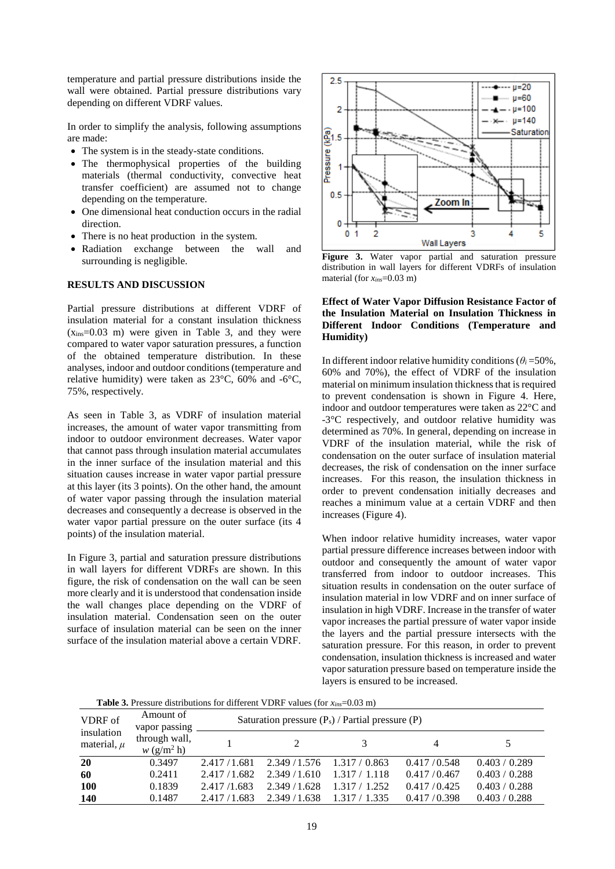temperature and partial pressure distributions inside the wall were obtained. Partial pressure distributions vary depending on different VDRF values.

In order to simplify the analysis, following assumptions are made:

- The system is in the steady-state conditions.
- The thermophysical properties of the building materials (thermal conductivity, convective heat transfer coefficient) are assumed not to change depending on the temperature.
- One dimensional heat conduction occurs in the radial direction.
- There is no heat production in the system.
- Radiation exchange between the wall and surrounding is negligible.

### **RESULTS AND DISCUSSION**

Partial pressure distributions at different VDRF of insulation material for a constant insulation thickness  $(x_{ins}=0.03 \text{ m})$  were given in Table 3, and they were compared to water vapor saturation pressures, a function of the obtained temperature distribution. In these analyses, indoor and outdoor conditions (temperature and relative humidity) were taken as 23°C, 60% and -6°C, 75%, respectively.

As seen in Table 3, as VDRF of insulation material increases, the amount of water vapor transmitting from indoor to outdoor environment decreases. Water vapor that cannot pass through insulation material accumulates in the inner surface of the insulation material and this situation causes increase in water vapor partial pressure at this layer (its 3 points). On the other hand, the amount of water vapor passing through the insulation material decreases and consequently a decrease is observed in the water vapor partial pressure on the outer surface (its 4 points) of the insulation material.

In Figure 3, partial and saturation pressure distributions in wall layers for different VDRFs are shown. In this figure, the risk of condensation on the wall can be seen more clearly and it is understood that condensation inside the wall changes place depending on the VDRF of insulation material. Condensation seen on the outer surface of insulation material can be seen on the inner surface of the insulation material above a certain VDRF.



**Figure 3.** Water vapor partial and saturation pressure distribution in wall layers for different VDRFs of insulation material (for  $x_{ins} = 0.03$  m)

# **Effect of Water Vapor Diffusion Resistance Factor of the Insulation Material on Insulation Thickness in Different Indoor Conditions (Temperature and Humidity)**

In different indoor relative humidity conditions ( $\theta$ *i* = 50%, 60% and 70%), the effect of VDRF of the insulation material on minimum insulation thickness that is required to prevent condensation is shown in Figure 4. Here, indoor and outdoor temperatures were taken as 22°C and -3°C respectively, and outdoor relative humidity was determined as 70%. In general, depending on increase in VDRF of the insulation material, while the risk of condensation on the outer surface of insulation material decreases, the risk of condensation on the inner surface increases. For this reason, the insulation thickness in order to prevent condensation initially decreases and reaches a minimum value at a certain VDRF and then increases (Figure 4).

When indoor relative humidity increases, water vapor partial pressure difference increases between indoor with outdoor and consequently the amount of water vapor transferred from indoor to outdoor increases. This situation results in condensation on the outer surface of insulation material in low VDRF and on inner surface of insulation in high VDRF. Increase in the transfer of water vapor increases the partial pressure of water vapor inside the layers and the partial pressure intersects with the saturation pressure. For this reason, in order to prevent condensation, insulation thickness is increased and water vapor saturation pressure based on temperature inside the layers is ensured to be increased.

**Table 3.** Pressure distributions for different VDRF values (for *xins*=0.03 m)

| VDRF of<br>insulation<br>material, $\mu$ | Amount of<br>vapor passing                | Saturation pressure $(P_s)$ / Partial pressure $(P)$ |               |               |             |               |
|------------------------------------------|-------------------------------------------|------------------------------------------------------|---------------|---------------|-------------|---------------|
|                                          | through wall,<br>$w$ (g/m <sup>2</sup> h) |                                                      |               |               |             |               |
| <b>20</b>                                | 0.3497                                    | 2.417/1.681                                          | 2.349 / 1.576 | 1.317/0.863   | 0.417/0.548 | 0.403 / 0.289 |
| 60                                       | 0.2411                                    | 2.417/1.682                                          | 2.349/1.610   | 1.317 / 1.118 | 0.417/0.467 | 0.403 / 0.288 |
| <b>100</b>                               | 0.1839                                    | 2.417/1.683                                          | 2.349/1.628   | 1.317 / 1.252 | 0.417/0.425 | 0.403 / 0.288 |
| <b>140</b>                               | 0.1487                                    | 2.417/1.683                                          | 2.349/1.638   | 1.317 / 1.335 | 0.417/0.398 | 0.403 / 0.288 |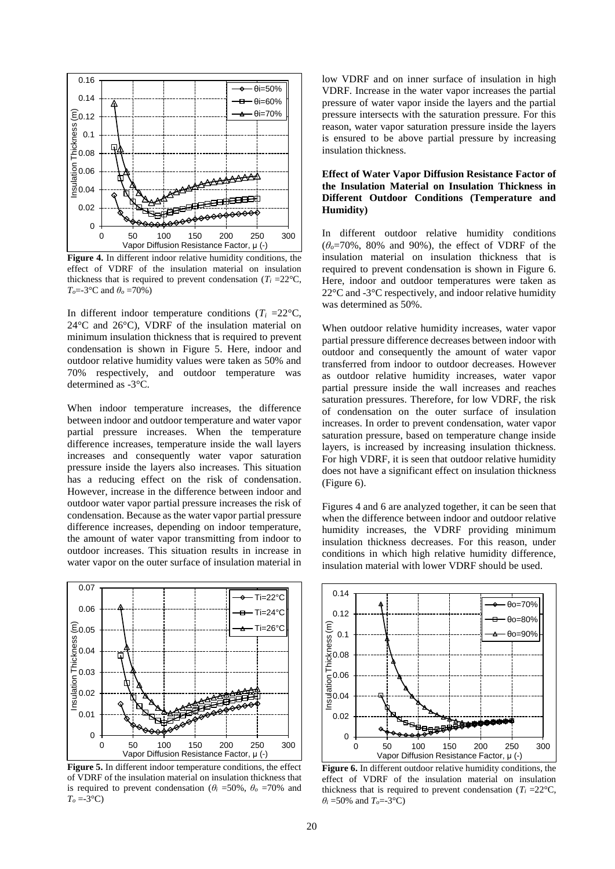

**Figure 4.** In different indoor relative humidity conditions, the effect of VDRF of the insulation material on insulation thickness that is required to prevent condensation  $(T_i = 22^{\circ}C)$ , *To*=-3°C and *θ<sup>o</sup>* =70%)

In different indoor temperature conditions ( $T_i = 22^{\circ}C$ , 24°C and 26°C), VDRF of the insulation material on minimum insulation thickness that is required to prevent condensation is shown in Figure 5. Here, indoor and outdoor relative humidity values were taken as 50% and 70% respectively, and outdoor temperature was determined as -3°C.

When indoor temperature increases, the difference between indoor and outdoor temperature and water vapor partial pressure increases. When the temperature difference increases, temperature inside the wall layers increases and consequently water vapor saturation pressure inside the layers also increases. This situation has a reducing effect on the risk of condensation. However, increase in the difference between indoor and outdoor water vapor partial pressure increases the risk of condensation. Because as the water vapor partial pressure difference increases, depending on indoor temperature, the amount of water vapor transmitting from indoor to outdoor increases. This situation results in increase in water vapor on the outer surface of insulation material in



**Figure 5.** In different indoor temperature conditions, the effect of VDRF of the insulation material on insulation thickness that is required to prevent condensation ( $\theta$ *i* =50%,  $\theta$ <sup>*o*</sup> =70% and  $T<sub>o</sub> = -3$ °C)

low VDRF and on inner surface of insulation in high VDRF. Increase in the water vapor increases the partial pressure of water vapor inside the layers and the partial pressure intersects with the saturation pressure. For this reason, water vapor saturation pressure inside the layers is ensured to be above partial pressure by increasing insulation thickness.

# **Effect of Water Vapor Diffusion Resistance Factor of the Insulation Material on Insulation Thickness in Different Outdoor Conditions (Temperature and Humidity)**

In different outdoor relative humidity conditions  $(\theta_0 = 70\%$ , 80% and 90%), the effect of VDRF of the insulation material on insulation thickness that is required to prevent condensation is shown in Figure 6. Here, indoor and outdoor temperatures were taken as 22°C and -3°C respectively, and indoor relative humidity was determined as 50%.

When outdoor relative humidity increases, water vapor partial pressure difference decreases between indoor with outdoor and consequently the amount of water vapor transferred from indoor to outdoor decreases. However as outdoor relative humidity increases, water vapor partial pressure inside the wall increases and reaches saturation pressures. Therefore, for low VDRF, the risk of condensation on the outer surface of insulation increases. In order to prevent condensation, water vapor saturation pressure, based on temperature change inside layers, is increased by increasing insulation thickness. For high VDRF, it is seen that outdoor relative humidity does not have a significant effect on insulation thickness (Figure 6).

Figures 4 and 6 are analyzed together, it can be seen that when the difference between indoor and outdoor relative humidity increases, the VDRF providing minimum insulation thickness decreases. For this reason, under conditions in which high relative humidity difference, insulation material with lower VDRF should be used.



**Figure 6.** In different outdoor relative humidity conditions, the effect of VDRF of the insulation material on insulation thickness that is required to prevent condensation ( $T_i = 22^{\circ}C$ , *θ<sup>i</sup>* =50% and *To*=-3°C)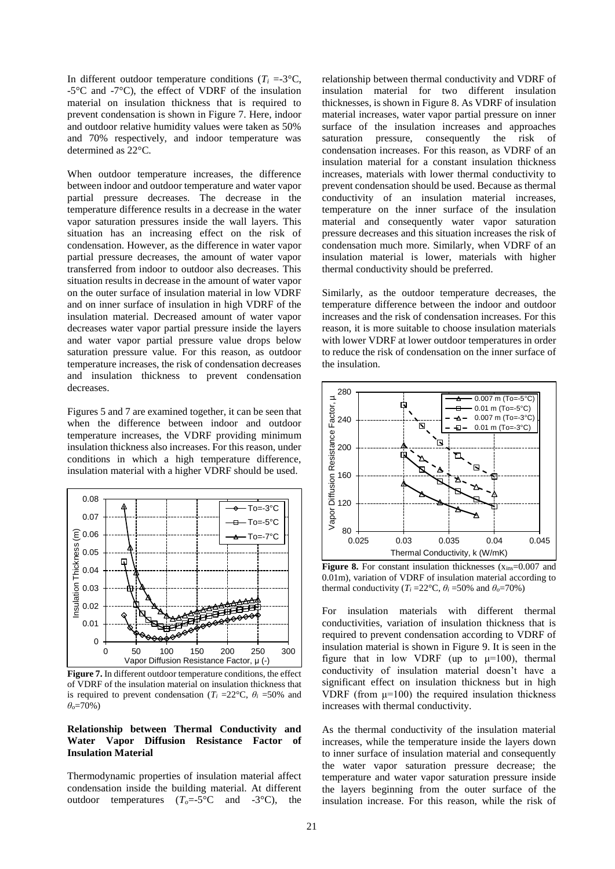In different outdoor temperature conditions ( $T_i = -3$ °C, -5°C and -7°C), the effect of VDRF of the insulation material on insulation thickness that is required to prevent condensation is shown in Figure 7. Here, indoor and outdoor relative humidity values were taken as 50% and 70% respectively, and indoor temperature was determined as 22°C.

When outdoor temperature increases, the difference between indoor and outdoor temperature and water vapor partial pressure decreases. The decrease in the temperature difference results in a decrease in the water vapor saturation pressures inside the wall layers. This situation has an increasing effect on the risk of condensation. However, as the difference in water vapor partial pressure decreases, the amount of water vapor transferred from indoor to outdoor also decreases. This situation results in decrease in the amount of water vapor on the outer surface of insulation material in low VDRF and on inner surface of insulation in high VDRF of the insulation material. Decreased amount of water vapor decreases water vapor partial pressure inside the layers and water vapor partial pressure value drops below saturation pressure value. For this reason, as outdoor temperature increases, the risk of condensation decreases and insulation thickness to prevent condensation decreases.

Figures 5 and 7 are examined together, it can be seen that when the difference between indoor and outdoor temperature increases, the VDRF providing minimum insulation thickness also increases. For this reason, under conditions in which a high temperature difference, insulation material with a higher VDRF should be used.



**Figure 7.** In different outdoor temperature conditions, the effect of VDRF of the insulation material on insulation thickness that is required to prevent condensation ( $T_i = 22$ °C,  $\theta_i = 50$ % and *θo*=70%)

### **Relationship between Thermal Conductivity and Water Vapor Diffusion Resistance Factor of Insulation Material**

Thermodynamic properties of insulation material affect condensation inside the building material. At different outdoor temperatures  $(T_o = -5^{\circ}C$  and  $-3^{\circ}C$ ), the

relationship between thermal conductivity and VDRF of insulation material for two different insulation thicknesses, is shown in Figure 8. As VDRF of insulation material increases, water vapor partial pressure on inner surface of the insulation increases and approaches saturation pressure, consequently the risk of condensation increases. For this reason, as VDRF of an insulation material for a constant insulation thickness increases, materials with lower thermal conductivity to prevent condensation should be used. Because as thermal conductivity of an insulation material increases, temperature on the inner surface of the insulation material and consequently water vapor saturation pressure decreases and this situation increases the risk of condensation much more. Similarly, when VDRF of an insulation material is lower, materials with higher thermal conductivity should be preferred.

Similarly, as the outdoor temperature decreases, the temperature difference between the indoor and outdoor increases and the risk of condensation increases. For this reason, it is more suitable to choose insulation materials with lower VDRF at lower outdoor temperatures in order to reduce the risk of condensation on the inner surface of the insulation.



**Figure 8.** For constant insulation thicknesses ( $x_{ins}=0.007$  and 0.01m), variation of VDRF of insulation material according to thermal conductivity ( $T_i = 22^\circ \text{C}$ ,  $\theta_i = 50\%$  and  $\theta_o = 70\%$ )

For insulation materials with different thermal conductivities, variation of insulation thickness that is required to prevent condensation according to VDRF of insulation material is shown in Figure 9. It is seen in the figure that in low VDRF (up to  $\mu$ =100), thermal conductivity of insulation material doesn't have a significant effect on insulation thickness but in high VDRF (from  $\mu$ =100) the required insulation thickness increases with thermal conductivity.

As the thermal conductivity of the insulation material increases, while the temperature inside the layers down to inner surface of insulation material and consequently the water vapor saturation pressure decrease; the temperature and water vapor saturation pressure inside the layers beginning from the outer surface of the insulation increase. For this reason, while the risk of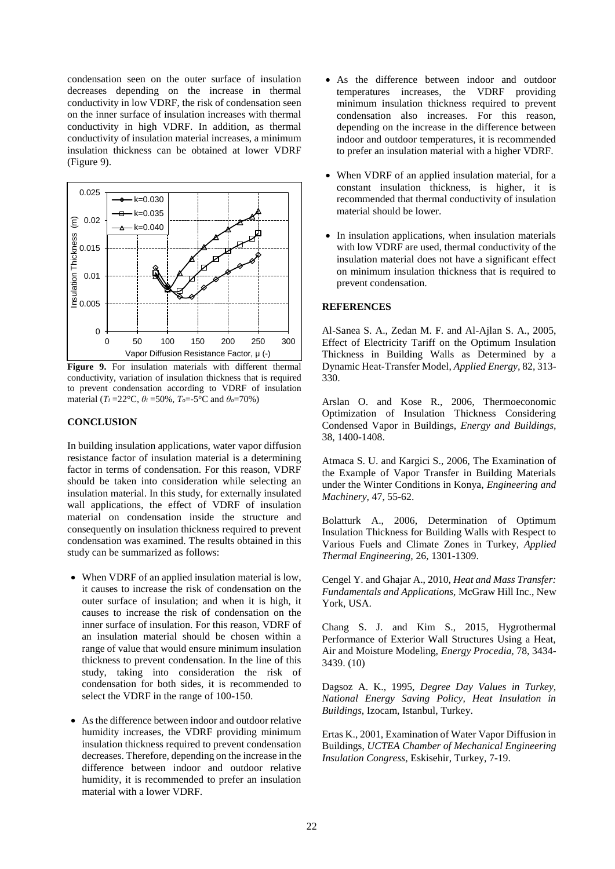condensation seen on the outer surface of insulation decreases depending on the increase in thermal conductivity in low VDRF, the risk of condensation seen on the inner surface of insulation increases with thermal conductivity in high VDRF. In addition, as thermal conductivity of insulation material increases, a minimum insulation thickness can be obtained at lower VDRF (Figure 9).



**Figure 9.** For insulation materials with different thermal conductivity, variation of insulation thickness that is required to prevent condensation according to VDRF of insulation material ( $T_i = 22$ °C,  $\theta_i = 50\%$ ,  $T_o = -5$ °C and  $\theta_o = 70\%$ )

# **CONCLUSION**

In building insulation applications, water vapor diffusion resistance factor of insulation material is a determining factor in terms of condensation. For this reason, VDRF should be taken into consideration while selecting an insulation material. In this study, for externally insulated wall applications, the effect of VDRF of insulation material on condensation inside the structure and consequently on insulation thickness required to prevent condensation was examined. The results obtained in this study can be summarized as follows:

- When VDRF of an applied insulation material is low, it causes to increase the risk of condensation on the outer surface of insulation; and when it is high, it causes to increase the risk of condensation on the inner surface of insulation. For this reason, VDRF of an insulation material should be chosen within a range of value that would ensure minimum insulation thickness to prevent condensation. In the line of this study, taking into consideration the risk of condensation for both sides, it is recommended to select the VDRF in the range of 100-150.
- As the difference between indoor and outdoor relative humidity increases, the VDRF providing minimum insulation thickness required to prevent condensation decreases. Therefore, depending on the increase in the difference between indoor and outdoor relative humidity, it is recommended to prefer an insulation material with a lower VDRF.
- As the difference between indoor and outdoor temperatures increases, the VDRF providing minimum insulation thickness required to prevent condensation also increases. For this reason, depending on the increase in the difference between indoor and outdoor temperatures, it is recommended to prefer an insulation material with a higher VDRF.
- When VDRF of an applied insulation material, for a constant insulation thickness, is higher, it is recommended that thermal conductivity of insulation material should be lower.
- In insulation applications, when insulation materials with low VDRF are used, thermal conductivity of the insulation material does not have a significant effect on minimum insulation thickness that is required to prevent condensation.

# **REFERENCES**

Al-Sanea S. A., Zedan M. F. and Al-Ajlan S. A., 2005, Effect of Electricity Tariff on the Optimum Insulation Thickness in Building Walls as Determined by a Dynamic Heat-Transfer Model, *Applied Energy,* 82, 313- 330.

Arslan O. and Kose R., 2006, Thermoeconomic Optimization of Insulation Thickness Considering Condensed Vapor in Buildings, *Energy and Buildings,* 38, 1400-1408.

Atmaca S. U. and Kargici S., 2006, The Examination of the Example of Vapor Transfer in Building Materials under the Winter Conditions in Konya, *Engineering and Machinery,* 47, 55-62.

Bolatturk A., 2006, Determination of Optimum Insulation Thickness for Building Walls with Respect to Various Fuels and Climate Zones in Turkey, *Applied Thermal Engineering,* 26, 1301-1309.

Cengel Y. and Ghajar A., 2010, *Heat and Mass Transfer: Fundamentals and Applications,* McGraw Hill Inc., New York, USA.

Chang S. J. and Kim S., 2015, Hygrothermal Performance of Exterior Wall Structures Using a Heat, Air and Moisture Modeling, *Energy Procedia,* 78, 3434- 3439. (10)

Dagsoz A. K., 1995, *Degree Day Values in Turkey, National Energy Saving Policy, Heat Insulation in Buildings*, Izocam, Istanbul, Turkey.

Ertas K., 2001, Examination of Water Vapor Diffusion in Buildings, *UCTEA Chamber of Mechanical Engineering Insulation Congress,* Eskisehir, Turkey, 7-19.